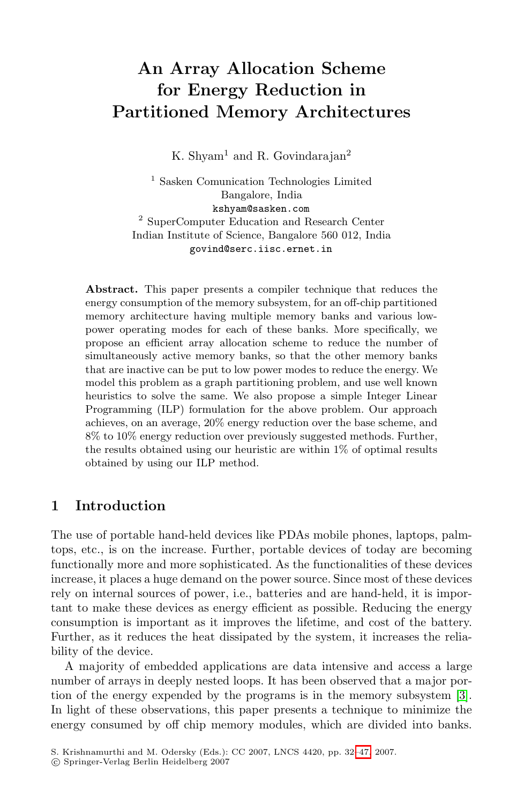# **An Array Allocation Scheme for Energy Reduction in Partitioned Memory Architectures**

K. Shyam<sup>1</sup> and R. Govindarajan<sup>2</sup>

<sup>1</sup> Sasken Comunication Technologies Limited Bangalore, India kshyam@sasken.com <sup>2</sup> SuperComputer Education and Research Center Indian Institute of Science, Bangalore 560 012, India govind@serc.iisc.ernet.in

**Abstract.** This paper presents a compiler technique that reduces the energy consumption of the memory subsystem, for an off-chip partitioned memory architecture having multiple memory banks and various lowpower operating modes for each of these banks. More specifically, we propose an efficient array allocation scheme to reduce the number of simultaneously active memory banks, so that the other memory banks that are inactive can be put to low power modes to reduce the energy. We model this problem as a graph partitioning problem, and use well known heuristics to solve the same. We also propose a simple Integer Linear Programming (ILP) formulation for the above problem. Our approach achieves, on an average, 20% energy reduction over the base scheme, and 8% to 10% energy reduction over previously suggested methods. Further, the results obtained using our heuristic are within 1% of optimal results obtained by using our ILP method.

# **1 Introduction**

The use of portable hand-held devices like PDAs mobile phones, laptops, palmtops, etc., is on the increase. Further, portable devices of today are becoming functionally more and more sophisticated. As the functionalities of these devices increase, it places a huge demand on the power source. Since most of these devices rely on internal sources of power, i.e., batteries and are hand-held, it is important to make these devices as energy efficient as possible. Reducing the energy consumption is important as it improves the lifetime, and cost of the battery. Further, as it reduces the heat dissip[ated](#page-15-0) by the system, it increases the reliability of the device.

A majority of embedded applications are data intensive and access a large number of arrays in deeply nested loops. It has been observed that a major portion of the energy expended by the programs is in the memory subsystem [3]. In light of these observations, this paper presents a technique to minimize the energy consumed by off chip memory modules, which are divided into banks.

S. Krishnamurthi and M. Odersky (Eds.): CC 2007, LNCS 4420, pp. 32–47, 2007.

<sup>-</sup>c Springer-Verlag Berlin Heidelberg 2007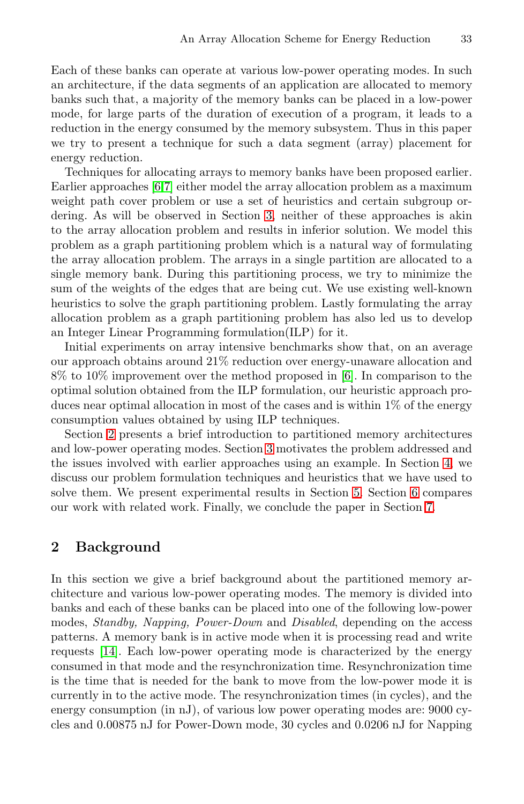Each of these banks can operate at various low-power operating modes. In such an architecture, if the data segments of an application are allocated to memory banks such that, a majority of the memory banks can be placed in a low-power mode, for large parts of the duration of execution of a program, it leads to a reduction in the energy consumed by the memory subsystem. Thus in this paper we try to present a technique for such a data segment (array) placement for energy reduction.

Techniques for allocating arrays to memory banks have been proposed earlier. Earlier approaches [6,7] either model the array allocation problem as a maximum weight path cover problem or use a set of heuristics and certain subgroup ordering. As will be observed in Section 3, neither of these approaches is akin to the array allocation problem and results in inferior solution. We model this problem as a graph partitioning problem which is a natural way of formulating the array allocation problem. The arrays in a single partition are allocated to a single memory bank. During this partitioning process, we try to minimize the sum of the weights of the edges that are being cut. We use existing well-known heuristics to solve the graph partitioning problem. Lastly formulating the array allocation problem as a graph partitioning problem has also led us to develop an Integer Linear Programming formulation(ILP) for it.

Initial experiments on array intensive benchmarks show that, on an average our approach obtains around 21% reduction over energy-unaware allocation and 8% to 10% improvement over the method proposed in [6]. In comparison to the optimal solution obtained from the ILP formulation, our heuristic approach produces near optimal allocation in most of the cases and is within 1% of the energy consumption values obtained by using ILP techniques.

Section 2 presents a brief introduction to partitioned memory architectures and low-power operating modes. Section 3 motivates the problem addressed and the issues involved with earlier approaches using an example. In Section 4, we discuss our problem formulation techniques and heuristics that we have used to solve them. We present experimental results in Section 5. Section 6 compares our work with related work. Finally, we conclude the paper in Section 7.

# **2 Background**

In this section we give a brief background about the partitioned memory architecture and various low-power operating modes. The memory is divided into banks and each of these banks can be placed into one of the following low-power modes, Standby, Napping, Power-Down and Disabled, depending on the access patterns. A memory bank is in active mode when it is processing read and write requests [14]. Each low-power operating mode is characterized by the energy consumed in that mode and the resynchronization time. Resynchronization time is the time that is needed for the bank to move from the low-power mode it is currently in to the active mode. The resynchronization times (in cycles), and the energy consumption (in nJ), of various low power operating modes are: 9000 cycles and 0.00875 nJ for Power-Down mode, 30 cycles and 0.0206 nJ for Napping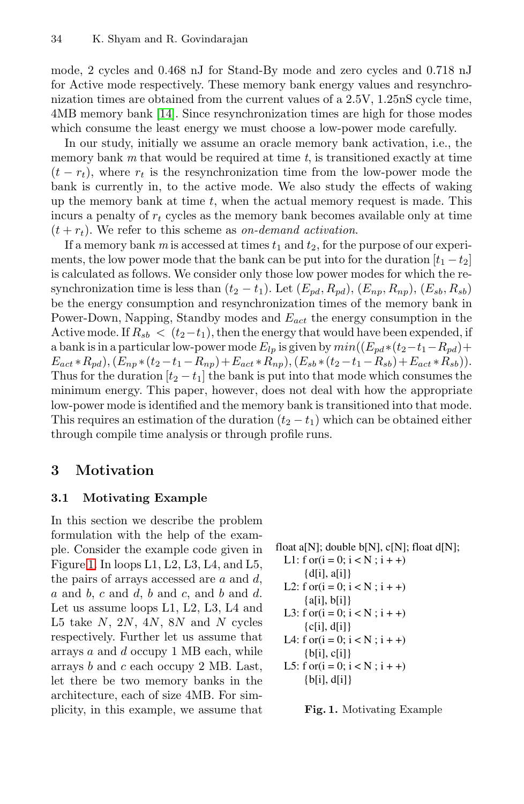mode, 2 cycles and 0.468 nJ for Stand-By mode and zero cycles and 0.718 nJ for Active mode respectively. These memory bank energy values and resynchronization times are obtained from the current values of a 2.5V, 1.25nS cycle time, 4MB memory bank [14]. Since resynchronization times are high for those modes which consume the least energy we must choose a low-power mode carefully.

In our study, initially we assume an oracle memory bank activation, i.e., the memory bank  $m$  that would be required at time  $t$ , is transitioned exactly at time  $(t - r_t)$ , where  $r_t$  is the resynchronization time from the low-power mode the bank is currently in, to the active mode. We also study the effects of waking up the memory bank at time  $t$ , when the actual memory request is made. This incurs a penalty of  $r_t$  cycles as the memory bank becomes available only at time  $(t + r_t)$ . We refer to this scheme as on-demand activation.

If a memory bank m is accessed at times  $t_1$  and  $t_2$ , for the purpose of our experiments, the low power mode that the bank can be put into for the duration  $[t_1 - t_2]$ is calculated as follows. We consider only those low power modes for which the resynchronization time is less than  $(t_2 - t_1)$ . Let  $(E_{pd}, R_{pd})$ ,  $(E_{np}, R_{np})$ ,  $(E_{sb}, R_{sb})$ be the energy consumption and resynchronization times of the memory bank in Power-Down, Napping, Standby modes and  $E_{act}$  the energy consumption in the Active mode. If  $R_{sb} < (t_2-t_1)$ , then the energy that would have been expended, if a bank is in a particular low-power mode  $E_{lp}$  is given by  $min((E_{pd}*(t_2-t_1-R_{pd})+$  $E_{act} * R_{pd}$ ,  $(E_{np} * (t_2 - t_1 - R_{np}) + E_{act} * R_{np})$ ,  $(E_{sb} * (t_2 - t_1 - R_{sb}) + E_{act} * R_{sb})$ . Thus for the duration  $[t_2 - t_1]$  the bank is put into that mode which consumes the minimum energy. This paper, however, does not deal with how the appropriate low-power mode is identified and the memory bank is transitioned into that mode. This requires an estimation of the duration  $(t_2 - t_1)$  which can be obtained either through compile time analysis or through profile runs.

# **3 Motivation**

### **3.1 Motivating Example**

In this section we describe the problem formulation with the help of the example. Consider the example code given in Figure 1. In loops L1, L2, L3, L4, and L5, the pairs of arrays accessed are  $a$  and  $d$ ,  $a$  and  $b$ ,  $c$  and  $d$ ,  $b$  and  $c$ , and  $b$  and  $d$ . Let us assume loops L1, L2, L3, L4 and L5 take  $N$ , 2N, 4N, 8N and N cycles respectively. Further let us assume that arrays a and d occupy 1 MB each, while arrays b and c each occupy 2 MB. Last, let there be two memory banks in the architecture, each of size 4MB. For simplicity, in this example, we assume that

 L1: f or(i = 0; i < N ; i + +) {d[i], a[i]} float a[N]; double b[N], c[N]; float d[N];

- L2:  $f \text{ or } (i = 0; i < N; i++)$  {a[i], b[i]} L3: f or( $i = 0$ ;  $i < N$ ;  $i + +$ )  ${c[i], d[i]}$ L4:  $f \text{ or } (i = 0; i < N; i++)$ {b[i], c[i]}
- L5:  $f$  or  $(i = 0; i < N; i++)$  ${b[i], d[i]}$

**Fig. 1.** Motivating Example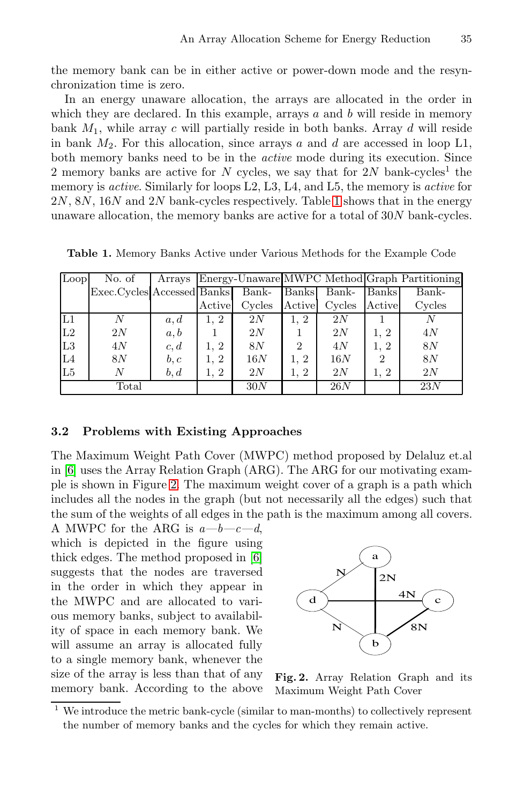the memory bank can be in either active or power-down mode and the resynchronization time is zero.

In an energy unaware allocation, the arrays are allocated in the order in which they are declared. In this example, arrays  $a$  and  $b$  will reside in memory bank  $M_1$ , while array c will partially reside in both banks. Array d will reside in bank  $M_2$ . For this allocation, since arrays a and d are accessed in loop L1, both memory banks need to be in the active mode during its execution. Since 2 memory banks are active for N cycles, we say that for  $2N$  bank-cycles<sup>1</sup> the memory is *active*. Similarly for loops L2, L3, L4, and L5, the memory is *active* for  $2N$ ,  $8N$ ,  $16N$  and  $2N$  bank-cycles respectively. Table 1 shows that in the energy unaware allocation, the memory banks are active for a total of 30N bank-cycles.

**Table 1.** Memory Banks Active under Various Methods for the Example Code

| Loop           | No. of                     |      |         |        |                |        |                | Arrays Energy-Unaware MWPC Method Graph Partitioning |
|----------------|----------------------------|------|---------|--------|----------------|--------|----------------|------------------------------------------------------|
|                | Exec.Cycles Accessed Banks |      |         | Bank-  | <b>Banks</b>   | Bank-  | <b>Banks</b>   | Bank-                                                |
|                |                            |      | Activel | Cycles | Active         | Cycles | Active         | Cycles                                               |
| L1             | N                          | a, d | 1, 2    | 2N     | 1, 2           | 2N     |                | N                                                    |
| L <sub>2</sub> | 2N                         | a, b |         | 2N     |                | 2N     | 1, 2           | 4N                                                   |
| L3             | 4N                         | c, d | 1, 2    | 8N     | $\overline{2}$ | 4N     | 1, 2           | 8N                                                   |
| L4             | 8N                         | b, c | 1, 2    | 16N    | 1, 2           | 16N    | $\overline{2}$ | 8N                                                   |
| L <sub>5</sub> | N                          | b, d | 1, 2    | 2N     | 1, 2           | 2N     | 1, 2           | 2N                                                   |
|                | Total                      |      |         | 30N    |                | 26N    |                | 23N                                                  |

#### **3.2 Problems with Existing Approaches**

The Maximum Weight Path Cover (MWPC) method proposed by Delaluz et.al in [6] uses the Array Relation Graph (ARG). The ARG for our motivating example is shown in Figure 2. The maximum weight cover of a graph is a path which includes all the nodes in the graph (but not necessarily all the edges) such that the sum of the weights of all edges in the path is the maximum among all covers.

A MWPC for the ARG is  $a-b-c-d$ , which is depicted in the figure using thick edges. The method proposed in [6] suggests that the nodes are traversed in the order in which they appear in the MWPC and are allocated to various memory banks, subject to availability of space in each memory bank. We will assume an array is allocated fully to a single memory bank, whenever the size of the array is less than that of any memory bank. According to the above



**Fig. 2.** Array Relation Graph and its Maximum Weight Path Cover

We introduce the metric bank-cycle (similar to man-months) to collectively represent the number of memory banks and the cycles for which they remain active.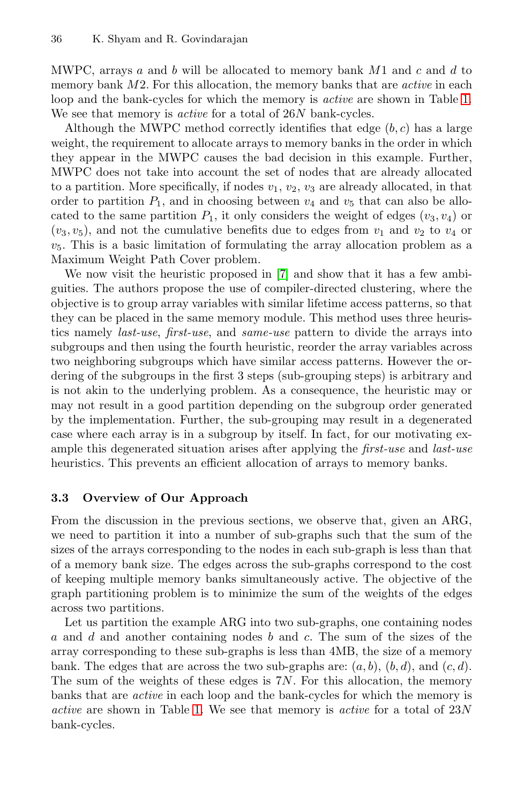MWPC, arrays a and b will be allocated to memory bank  $M1$  and c and d to memory bank M2. For this allocation, the memory banks that are *active* in each loop and the bank-cycles for which the memory is active are shown in Table 1. We see that memory is *active* for a total of  $26N$  bank-cycles.

Although the MWPC method correctly identifies that edge  $(b, c)$  has a large weight, the requirement to allocate arrays to memory banks in the order in which they appear in the MWPC causes the bad decision in this example. Further, MWPC does not take into account the set of nodes that are already allocated to a partition. More specifically, if nodes  $v_1, v_2, v_3$  are already allocated, in that order to partition  $P_1$ , and in choosing between  $v_4$  and  $v_5$  that can also be allocated to the same partition  $P_1$ , it only considers the weight of edges  $(v_3, v_4)$  or  $(v_3, v_5)$ , and not the cumulative benefits due to edges from  $v_1$  and  $v_2$  to  $v_4$  or  $v<sub>5</sub>$ . This is a basic limitation of formulating the array allocation problem as a Maximum Weight Path Cover problem.

We now visit the heuristic proposed in [7] and show that it has a few ambiguities. The authors propose the use of compiler-directed clustering, where the objective is to group array variables with similar lifetime access patterns, so that they can be placed in the same memory module. This method uses three heuristics namely last-use, first-use, and same-use pattern to divide the arrays into subgroups and then using the fourth heuristic, reorder the array variables across two neighboring subgroups which have similar access patterns. However the ordering of the subgroups in the first 3 steps (sub-grouping steps) is arbitrary and is not akin to the underlying problem. As a consequence, the heuristic may or may not result in a good partition depending on the subgroup order generated by the implementation. Further, the sub-grouping may result in a degenerated case where each array is in a subgroup by itself. In fact, for our motivating example this degenerated situation arises after applying the first-use and last-use heuristics. This prevents an efficient allocation of arrays to memory banks.

## **3.3 Overview of Our Approach**

From the discussion in the previous sections, we observe that, given an ARG, we need to partition it into a number of sub-graphs such that the sum of the sizes of the arrays corresponding to the nodes in each sub-graph is less than that of a memory bank size. The edges across the sub-graphs correspond to the cost of keeping multiple memory banks simultaneously active. The objective of the graph partitioning problem is to minimize the sum of the weights of the edges across two partitions.

Let us partition the example ARG into two sub-graphs, one containing nodes a and d and another containing nodes b and c. The sum of the sizes of the array corresponding to these sub-graphs is less than 4MB, the size of a memory bank. The edges that are across the two sub-graphs are:  $(a, b)$ ,  $(b, d)$ , and  $(c, d)$ . The sum of the weights of these edges is  $7N$ . For this allocation, the memory banks that are active in each loop and the bank-cycles for which the memory is *active* are shown in Table 1. We see that memory is *active* for a total of  $23N$ bank-cycles.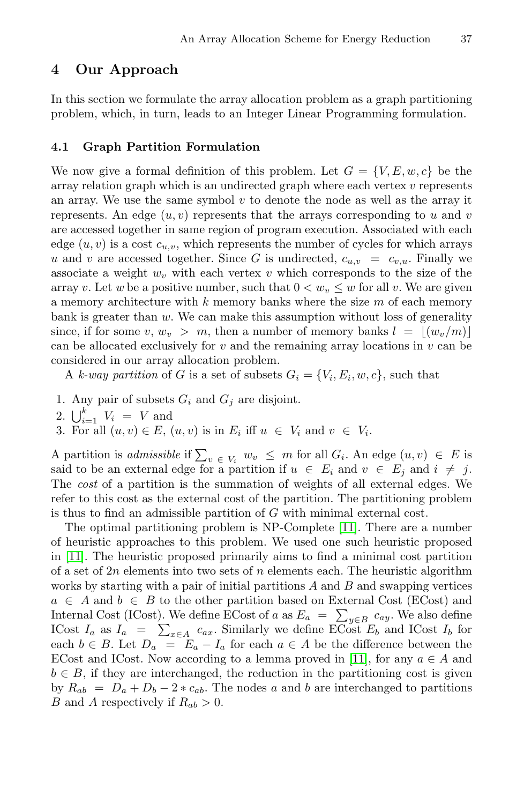# **4 Our Approach**

In this section we formulate the array allocation problem as a graph partitioning problem, which, in turn, leads to an Integer Linear Programming formulation.

## **4.1 Graph Partition Formulation**

We now give a formal definition of this problem. Let  $G = \{V, E, w, c\}$  be the array relation graph which is an undirected graph where each vertex  $v$  represents an array. We use the same symbol  $v$  to denote the node as well as the array it represents. An edge  $(u, v)$  represents that the arrays corresponding to u and v are accessed together in same region of program execution. Associated with each edge  $(u, v)$  is a cost  $c_{u,v}$ , which represents the number of cycles for which arrays u and v are accessed together. Since G is undirected,  $c_{u,v} = c_{v,u}$ . Finally we associate a weight  $w<sub>v</sub>$  with each vertex v which corresponds to the size of the array v. Let w be a positive number, such that  $0 < w_y \leq w$  for all v. We are given a memory architecture with  $k$  memory banks where the size  $m$  of each memory bank is greater than  $w$ . We can make this assumption without loss of generality since, if for some  $v, w_v > m$ , then a number of memory banks  $l = |(w_v/m)|$ can be allocated exclusively for  $v$  and the remaining array locations in  $v$  can be considered in our array allocation problem.

A k-way partition of G is a set of subsets  $G_i = \{V_i, E_i, w, c\}$ , such that

- 1. Any pair of subsets  $G_i$  and  $G_j$  are disjoint.
- 2.  $\bigcup_{i=1}^{k} V_i = V$  and
- 3. For all  $(u, v) \in E$ ,  $(u, v)$  is in  $E_i$  iff  $u \in V_i$  and  $v \in V_i$ .

A partition is *admissible* if  $\sum_{v \in V_i} w_v \leq m$  for all  $G_i$ . An edge  $(u, v) \in E$  is said to be an external edge for a partition if  $u \in E_i$  and  $v \in E_j$  and  $i \neq j$ . The cost of a partition is the summation of weights of all external edges. We refer to this cost as the external cost of the partition. The partitioning problem is thus to find an admissible partition of G with minimal external cost.

The optimal partitioning problem is NP-Complete [11]. There are a number of heuristic approaches to this problem. We used one such heuristic proposed in [11]. The heuristic proposed primarily aims to find a minimal cost partition of a set of  $2n$  elements into two sets of n elements each. The heuristic algorithm works by starting with a pair of initial partitions  $A$  and  $B$  and swapping vertices  $a \in A$  and  $b \in B$  to the other partition based on External Cost (ECost) and Internal Cost (ICost). We define ECost of a as  $E_a = \sum_{y \in B} c_{ay}$ . We also define ICost  $I_a$  as  $I_a = \sum_{x \in A} c_{ax}$ . Similarly we define ECost  $E_b$  and ICost  $I_b$  for each  $b \in B$ . Let  $D_a = E_a - I_a$  for each  $a \in A$  be the difference between the ECost and ICost. Now according to a lemma proved in [11], for any  $a \in A$  and  $b \in B$ , if they are interchanged, the reduction in the partitioning cost is given by  $R_{ab} = D_a + D_b - 2 * c_{ab}$ . The nodes a and b are interchanged to partitions B and A respectively if  $R_{ab} > 0$ .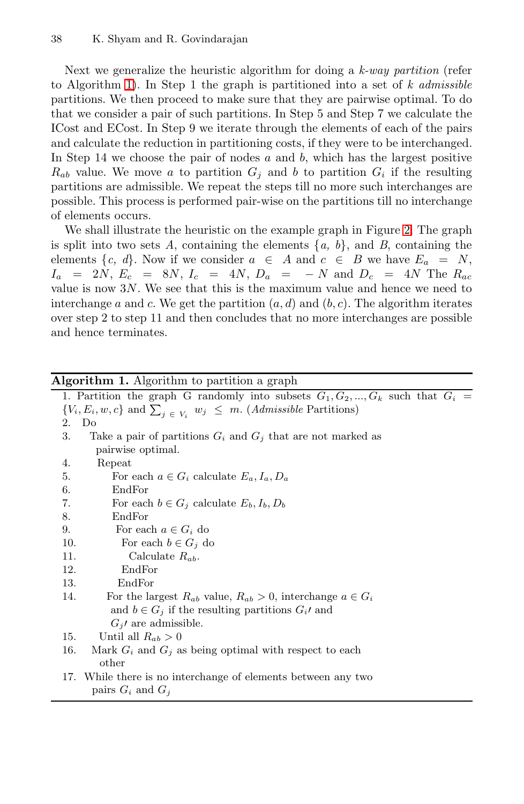Next we generalize the heuristic algorithm for doing a k-way partition (refer to Algorithm 1). In Step 1 the graph is partitioned into a set of  $k$  admissible partitions. We then proceed to make sure that they are pairwise optimal. To do that we consider a pair of such partitions. In Step 5 and Step 7 we calculate the ICost and ECost. In Step 9 we iterate through the elements of each of the pairs and calculate the reduction in partitioning costs, if they were to be interchanged. In Step 14 we choose the pair of nodes  $a$  and  $b$ , which has the largest positive  $R_{ab}$  value. We move a to partition  $G_i$  and b to partition  $G_i$  if the resulting partitions are admissible. We repeat the steps till no more such interchanges are possible. This process is performed pair-wise on the partitions till no interchange of elements occurs.

We shall illustrate the heuristic on the example graph in Figure 2. The graph is split into two sets A, containing the elements  $\{a, b\}$ , and B, containing the elements  $\{c, d\}$ . Now if we consider  $a \in A$  and  $c \in B$  we have  $E_a = N$ ,  $I_a$  = 2N,  $E_c$  = 8N,  $I_c$  = 4N,  $D_a$  = - N and  $D_c$  = 4N The  $R_{ac}$ value is now  $3N$ . We see that this is the maximum value and hence we need to interchange a and c. We get the partition  $(a, d)$  and  $(b, c)$ . The algorithm iterates over step 2 to step 11 and then concludes that no more interchanges are possible and hence terminates.

## **Algorithm 1.** Algorithm to partition a graph

1. Partition the graph G randomly into subsets  $G_1, G_2, ..., G_k$  such that  $G_i =$  $\{V_i, E_i, w, c\}$  and  $\sum_{j \in V_i} w_j \leq m$ . (*Admissible* Partitions) 2. Do 3. Take a pair of partitions  $G_i$  and  $G_j$  that are not marked as pairwise optimal. 4. Repeat 5. For each  $a \in G_i$  calculate  $E_a, I_a, D_a$ 6. EndFor 7. For each  $b \in G_j$  calculate  $E_b$ ,  $I_b$ ,  $D_b$ 8. EndFor 9. For each  $a \in G_i$  do 10. For each  $b \in G_j$  do 11. Calculate  $R_{ab}$ . 12. EndFor 13. EndFor 14. For the largest  $R_{ab}$  value,  $R_{ab} > 0$ , interchange  $a \in G_i$ and  $b \in G_j$  if the resulting partitions  $G_i'$  and  $G_i$  are admissible. 15. Until all  $R_{ab} > 0$ 16. Mark  $G_i$  and  $G_j$  as being optimal with respect to each other 17. While there is no interchange of elements between any two pairs  $G_i$  and  $G_j$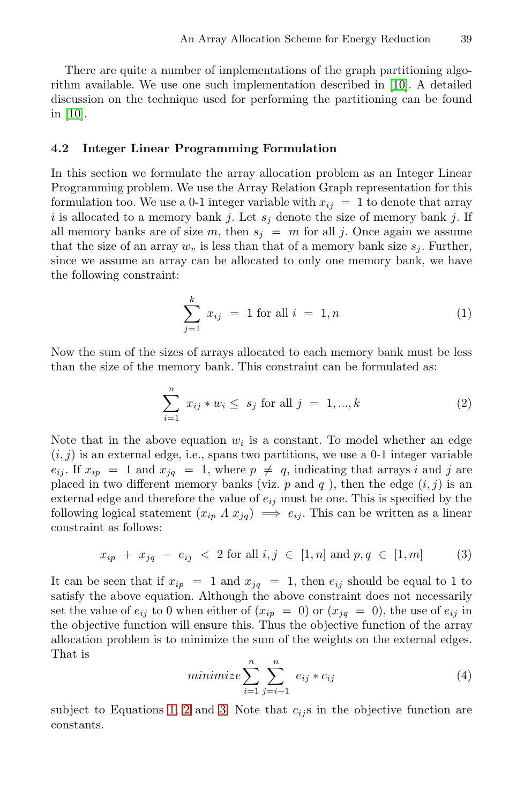There are quite a number of implementations of the graph partitioning algorithm available. We use one such implementation described in [10]. A detailed discussion on the technique used for performing the partitioning can be found in [10].

### **4.2 Integer Linear Programming Formulation**

In this section we formulate the array allocation problem as an Integer Linear Programming problem. We use the Array Relation Graph representation for this formulation too. We use a 0-1 integer variable with  $x_{ij} = 1$  to denote that array i is allocated to a memory bank j. Let  $s_j$  denote the size of memory bank j. If all memory banks are of size m, then  $s_i = m$  for all j. Once again we assume that the size of an array  $w<sub>v</sub>$  is less than that of a memory bank size  $s<sub>i</sub>$ . Further, since we assume an array can be allocated to only one memory bank, we have the following constraint:

$$
\sum_{j=1}^{k} x_{ij} = 1 \text{ for all } i = 1, n
$$
 (1)

Now the sum of the sizes of arrays allocated to each memory bank must be less than the size of the memory bank. This constraint can be formulated as:

$$
\sum_{i=1}^{n} x_{ij} * w_i \leq s_j \text{ for all } j = 1, ..., k
$$
 (2)

Note that in the above equation  $w_i$  is a constant. To model whether an edge  $(i, j)$  is an external edge, i.e., spans two partitions, we use a 0-1 integer variable  $e_{ij}$ . If  $x_{ip} = 1$  and  $x_{jq} = 1$ , where  $p \neq q$ , indicating that arrays i and j are placed in two different memory banks (viz.  $p$  and  $q$ ), then the edge  $(i, j)$  is an external edge and therefore the value of  $e_{ij}$  must be one. This is specified by the following logical statement  $(x_{ip} \land x_{jq}) \implies e_{ij}$ . This can be written as a linear constraint as follows:

$$
x_{ip} + x_{jq} - e_{ij} < 2 \text{ for all } i, j \in [1, n] \text{ and } p, q \in [1, m] \tag{3}
$$

It can be seen that if  $x_{ip} = 1$  and  $x_{jq} = 1$ , then  $e_{ij}$  should be equal to 1 to satisfy the above equation. Although the above constraint does not necessarily set the value of  $e_{ij}$  to 0 when either of  $(x_{ip} = 0)$  or  $(x_{jq} = 0)$ , the use of  $e_{ij}$  in the objective function will ensure this. Thus the objective function of the array allocation problem is to minimize the sum of the weights on the external edges. That is

$$
minimize \sum_{i=1}^{n} \sum_{j=i+1}^{n} e_{ij} * c_{ij}
$$
\n
$$
(4)
$$

subject to Equations 1, 2 and 3. Note that  $c_{ij}$  in the objective function are constants.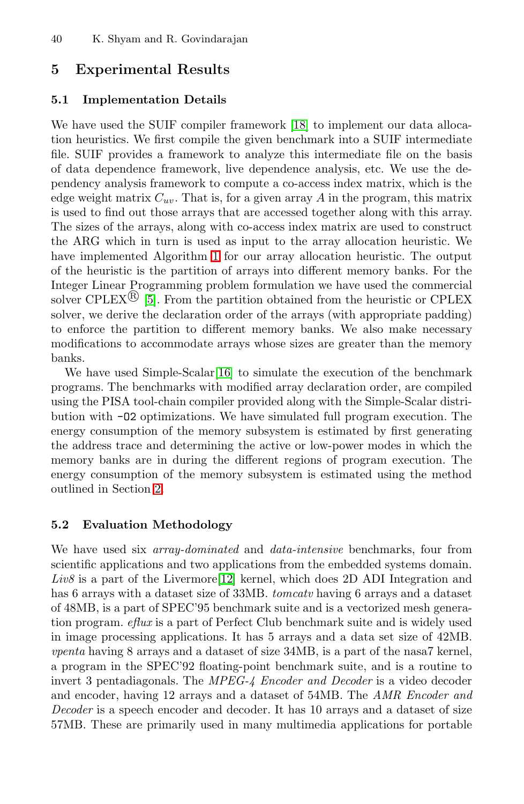# **5 Experimental Results**

### **5.1 Implementation Details**

We have used the SUIF compiler framework [18] to implement our data allocation heuristics. We first compile the given benchmark into a SUIF intermediate file. SUIF provides a framework to analyze this intermediate file on the basis of data dependence framework, live dependence analysis, etc. We use the dependency analysis framework to compute a co-access index matrix, which is the edge weight matrix  $C_{uv}$ . That is, for a given array A in the program, this matrix is used to find out those arrays that are accessed together along with this array. The sizes of the arrays, along with co-access index matrix are used to construct the ARG which in turn is used as input to the array allocation heuristic. We have implemented Algorithm 1 for our array allocation heuristic. The output of the heuristic is the partition of arrays into different memory banks. For the Integer Linear Programming problem formulation we have used the commercial solver CPLEX<sup>(B)</sup> [5]. From the partition obtained from the heuristic or CPLEX solver, we derive the declaration order of the arrays (with appropriate padding) to enforce the partition to different memory banks. We also make necessary modifications to accommodate arrays whose sizes are greater than the memory banks.

We have used Simple-Scalar [16] to simulate the execution of the benchmark programs. The benchmarks with modified array declaration order, are compiled using the PISA tool-chain compiler provided along with the Simple-Scalar distribution with -O2 optimizations. We have simulated full program execution. The energy consumption of the memory subsystem is estimated by first generating the address trace and determining the active or low-power modes in which the memory banks are in during the different regions of program execution. The energy consumption of the memory subsystem is estimated using the method outlined in Section 2.

### **5.2 Evaluation Methodology**

We have used six *array-dominated* and *data-intensive* benchmarks, four from scientific applications and two applications from the embedded systems domain. Liv8 is a part of the Livermore<sup>[12]</sup> kernel, which does 2D ADI Integration and has 6 arrays with a dataset size of 33MB. tomcatv having 6 arrays and a dataset of 48MB, is a part of SPEC'95 benchmark suite and is a vectorized mesh generation program. eflux is a part of Perfect Club benchmark suite and is widely used in image processing applications. It has 5 arrays and a data set size of 42MB. vpenta having 8 arrays and a dataset of size 34MB, is a part of the nasa7 kernel, a program in the SPEC'92 floating-point benchmark suite, and is a routine to invert 3 pentadiagonals. The MPEG-4 Encoder and Decoder is a video decoder and encoder, having 12 arrays and a dataset of 54MB. The AMR Encoder and Decoder is a speech encoder and decoder. It has 10 arrays and a dataset of size 57MB. These are primarily used in many multimedia applications for portable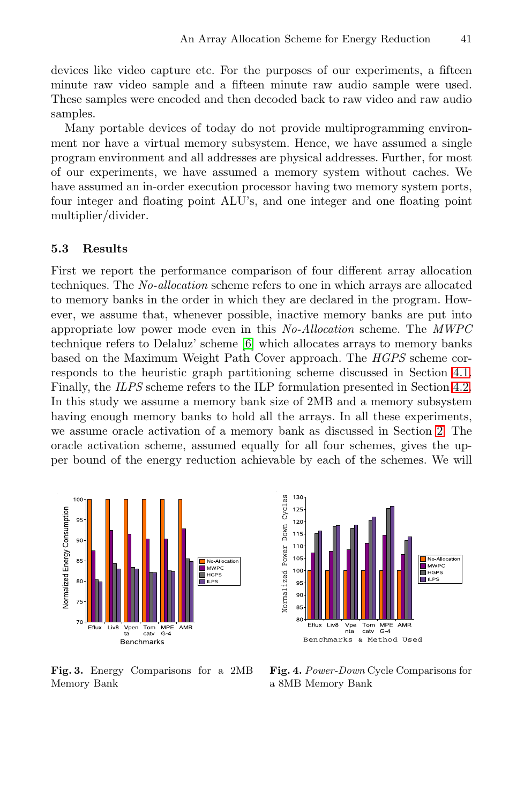devices like video capture etc. For the purposes of our experiments, a fifteen minute raw video sample and a fifteen minute raw audio sample were used. These samples were encoded and then decoded back to raw video and raw audio samples.

Many portable devices of today do not provide multiprogramming environment nor have a virtual memory subsystem. Hence, we have assumed a single program environment and all addresses are physical addresses. Further, for most of our experiments, we have assumed a memory system without caches. We have assumed an in-order execution processor having two memory system ports, four integer and floating point ALU's, and one integer and one floating point multiplier/divider.

## **5.3 Results**

First we report the performance comparison of four different array allocation techniques. The No-allocation scheme refers to one in which arrays are allocated to memory banks in the order in which they are declared in the program. However, we assume that, whenever possible, inactive memory banks are put into appropriate low power mode even in this No-Allocation scheme. The MWPC technique refers to Delaluz' scheme [6] which allocates arrays to memory banks based on the Maximum Weight Path Cover approach. The HGPS scheme corresponds to the heuristic graph partitioning scheme discussed in Section 4.1. Finally, the ILPS scheme refers to the ILP formulation presented in Section 4.2. In this study we assume a memory bank size of 2MB and a memory subsystem having enough memory banks to hold all the arrays. In all these experiments, we assume oracle activation of a memory bank as discussed in Section 2. The oracle activation scheme, assumed equally for all four schemes, gives the upper bound of the energy reduction achievable by each of the schemes. We will





**Fig. 3.** Energy Comparisons for a 2MB Memory Bank

**Fig. 4.** Power-Down Cycle Comparisons for a 8MB Memory Bank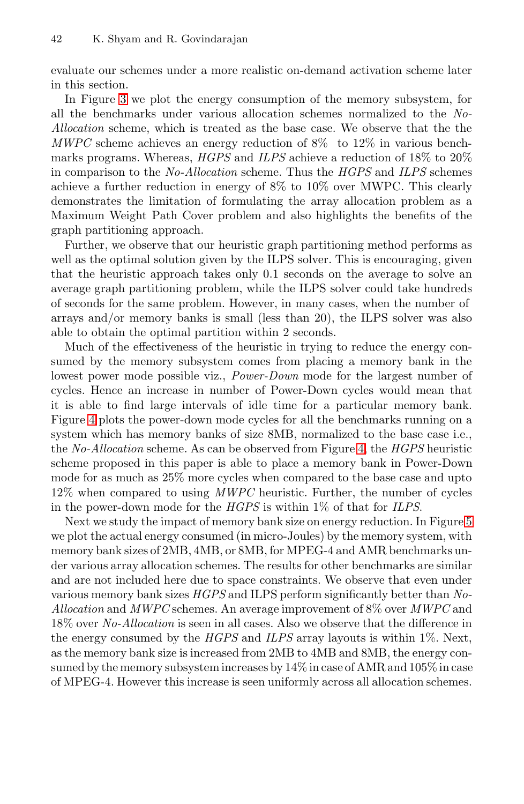evaluate our schemes under a more realistic on-demand activation scheme later in this section.

In Figure 3 we plot the energy consumption of the memory subsystem, for all the benchmarks under various allocation schemes normalized to the No-Allocation scheme, which is treated as the base case. We observe that the the MWPC scheme achieves an energy reduction of 8% to 12% in various benchmarks programs. Whereas, HGPS and ILPS achieve a reduction of 18% to 20% in comparison to the No-Allocation scheme. Thus the HGPS and ILPS schemes achieve a further reduction in energy of 8% to 10% over MWPC. This clearly demonstrates the limitation of formulating the array allocation problem as a Maximum Weight Path Cover problem and also highlights the benefits of the graph partitioning approach.

Further, we observe that our heuristic graph partitioning method performs as well as the optimal solution given by the ILPS solver. This is encouraging, given that the heuristic approach takes only 0.1 seconds on the average to solve an average graph partitioning problem, while the ILPS solver could take hundreds of seconds for the same problem. However, in many cases, when the number of arrays and/or memory banks is small (less than 20), the ILPS solver was also able to obtain the optimal partition within 2 seconds.

Much of the effectiveness of the heuristic in trying to reduce the energy consumed by the memory subsystem comes from placing a memory bank in the lowest power mode possible viz., Power-Down mode for the largest number of cycles. Hence an increase in number of Power-Down cycles would mean that it is able to find large intervals of idle time for a particular memory bank. Figure 4 plots the power-down mode cycles for all the benchmarks running on a system which has memory banks of size 8MB, normalized to the base case i.e., the No-Allocation scheme. As can be observed from Figure 4, the HGPS heuristic scheme proposed in this paper is able to place a memory bank in Power-Down mode for as much as 25% more cycles when compared to the base case and upto 12% when compared to using MWPC heuristic. Further, the number of cycles in the power-down mode for the HGPS is within 1% of that for ILPS.

Next we study the impact of memory bank size on energy reduction. In Figure 5 we plot the actual energy consumed (in micro-Joules) by the memory system, with memory bank sizes of 2MB, 4MB, or 8MB, for MPEG-4 and AMR benchmarks under various array allocation schemes. The results for other benchmarks are similar and are not included here due to space constraints. We observe that even under various memory bank sizes HGPS and ILPS perform significantly better than No-Allocation and  $MWPC$  schemes. An average improvement of  $8\%$  over  $MWPC$  and 18% over No-Allocation is seen in all cases. Also we observe that the difference in the energy consumed by the  $HGPS$  and  $ILPS$  array layouts is within 1%. Next, as the memory bank size is increased from 2MB to 4MB and 8MB, the energy consumed by the memory subsystem increases by  $14\%$  in case of AMR and  $105\%$  in case of MPEG-4. However this increase is seen uniformly across all allocation schemes.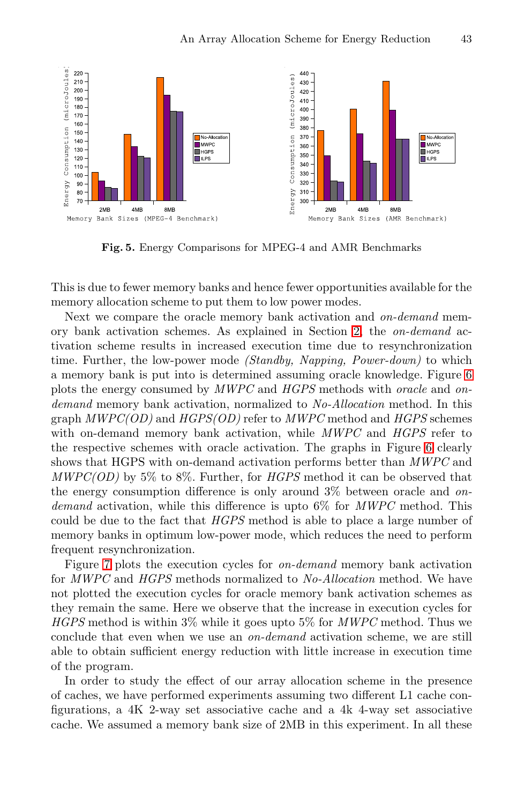

**Fig. 5.** Energy Comparisons for MPEG-4 and AMR Benchmarks

This is due to fewer memory banks and hence fewer opportunities available for the memory allocation scheme to put them to low power modes.

Next we compare the oracle memory bank activation and on-demand memory bank activation schemes. As explained in Section 2, the on-demand activation scheme results in increased execution time due to resynchronization time. Further, the low-power mode (Standby, Napping, Power-down) to which a memory bank is put into is determined assuming oracle knowledge. Figure 6 plots the energy consumed by MWPC and HGPS methods with oracle and ondemand memory bank activation, normalized to No-Allocation method. In this graph  $MWPC(OD)$  and  $HGPS(OD)$  refer to  $MWPC$  method and  $HGPS$  schemes with on-demand memory bank activation, while  $MWPC$  and  $HGPS$  refer to the respective schemes with oracle activation. The graphs in Figure 6 clearly shows that HGPS with on-demand activation performs better than MWPC and  $MWPC(OD)$  by 5% to 8%. Further, for  $HGPS$  method it can be observed that the energy consumption difference is only around 3% between oracle and ondemand activation, while this difference is upto  $6\%$  for  $MWPC$  method. This could be due to the fact that HGPS method is able to place a large number of memory banks in optimum low-power mode, which reduces the need to perform frequent resynchronization.

Figure 7 plots the execution cycles for on-demand memory bank activation for MWPC and HGPS methods normalized to No-Allocation method. We have not plotted the execution cycles for oracle memory bank activation schemes as they remain the same. Here we observe that the increase in execution cycles for  $HGPS$  method is within 3% while it goes upto 5% for  $MWPC$  method. Thus we conclude that even when we use an on-demand activation scheme, we are still able to obtain sufficient energy reduction with little increase in execution time of the program.

In order to study the effect of our array allocation scheme in the presence of caches, we have performed experiments assuming two different L1 cache configurations, a 4K 2-way set associative cache and a 4k 4-way set associative cache. We assumed a memory bank size of 2MB in this experiment. In all these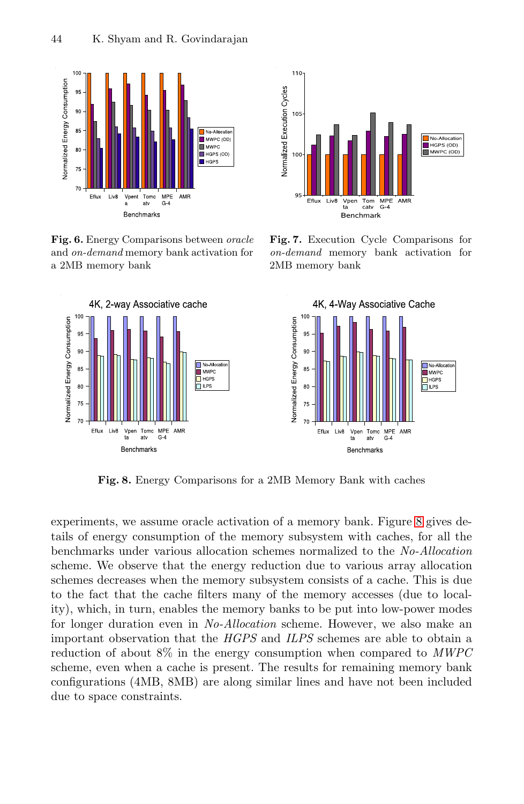

**Fig. 6.** Energy Comparisons between oracle and on-demand memory bank activation for a 2MB memory bank



**Fig. 7.** Execution Cycle Comparisons for on-demand memory bank activation for 2MB memory bank



**Fig. 8.** Energy Comparisons for a 2MB Memory Bank with caches

experiments, we assume oracle activation of a memory bank. Figure 8 gives details of energy consumption of the memory subsystem with caches, for all the benchmarks under various allocation schemes normalized to the No-Allocation scheme. We observe that the energy reduction due to various array allocation schemes decreases when the memory subsystem consists of a cache. This is due to the fact that the cache filters many of the memory accesses (due to locality), which, in turn, enables the memory banks to be put into low-power modes for longer duration even in No-Allocation scheme. However, we also make an important observation that the HGPS and ILPS schemes are able to obtain a reduction of about 8% in the energy consumption when compared to MWPC scheme, even when a cache is present. The results for remaining memory bank configurations (4MB, 8MB) are along similar lines and have not been included due to space constraints.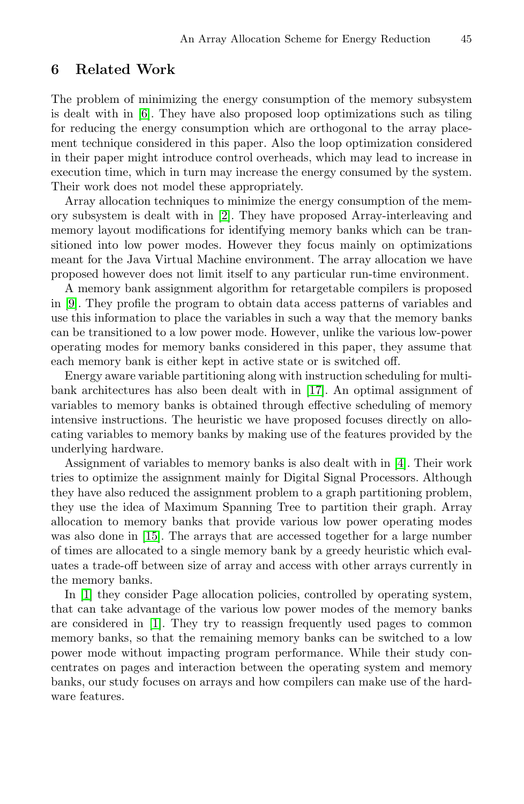# **6 Related Work**

The problem of minimizing the energy consumption of the memory subsystem is dealt with in [6]. They have also proposed loop optimizations such as tiling for reducing the energy consumption which are orthogonal to the array placement technique considered in this paper. Also the loop optimization considered in their paper might introduce control overheads, which may lead to increase in execution time, which in turn may increase the energy consumed by the system. Their work does not model these appropriately.

Array allocation techniques to minimize the energy consumption of the memory subsystem is dealt with in [2]. They have proposed Array-interleaving and memory layout modifications for identifying memory banks which can be transitioned into low power modes. However they focus mainly on optimizations meant for the Java Virtual Machine environment. The array allocation we have proposed however does not limit itself to any particular run-time environment.

A memory bank assignment algorithm for retargetable compilers is proposed in [9]. They profile the program to obtain data access patterns of variables and use this information to place the variables in such a way that the memory banks can be transitioned to a low power mode. However, unlike the various low-power operating modes for memory banks considered in this paper, they assume that each memory bank is either kept in active state or is switched off.

Energy aware variable partitioning along with instruction scheduling for multibank architectures has also been dealt with in [17]. An optimal assignment of variables to memory banks is obtained through effective scheduling of memory intensive instructions. The heuristic we have proposed focuses directly on allocating variables to memory banks by making use of the features provided by the underlying hardware.

Assignment of variables to memory banks is also dealt with in [4]. Their work tries to optimize the assignment mainly for Digital Signal Processors. Although they have also reduced the assignment problem to a graph partitioning problem, they use the idea of Maximum Spanning Tree to partition their graph. Array allocation to memory banks that provide various low power operating modes was also done in [15]. The arrays that are accessed together for a large number of times are allocated to a single memory bank by a greedy heuristic which evaluates a trade-off between size of array and access with other arrays currently in the memory banks.

In [1] they consider Page allocation policies, controlled by operating system, that can take advantage of the various low power modes of the memory banks are considered in [1]. They try to reassign frequently used pages to common memory banks, so that the remaining memory banks can be switched to a low power mode without impacting program performance. While their study concentrates on pages and interaction between the operating system and memory banks, our study focuses on arrays and how compilers can make use of the hardware features.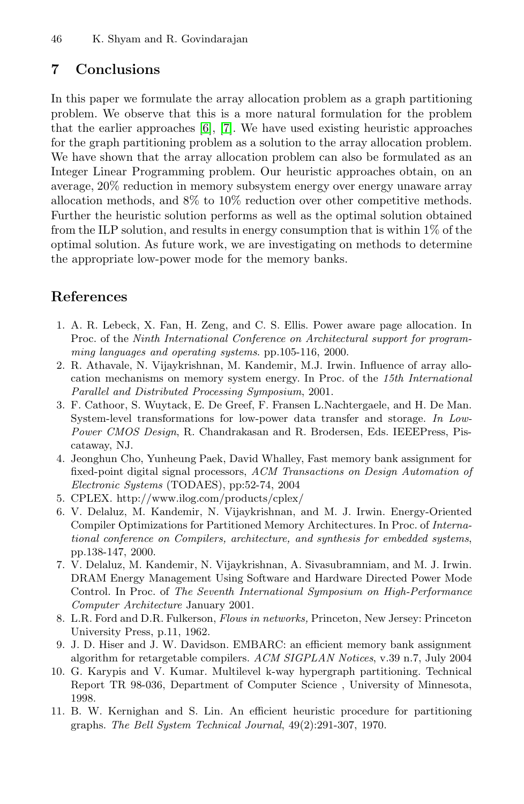# **7 Conclusions**

In this paper we formulate the array allocation problem as a graph partitioning problem. We observe that this is a more natural formulation for the problem that the earlier approaches [6], [7]. We have used existing heuristic approaches for the graph partitioning problem as a solution to the array allocation problem. We have shown that the array allocation problem can also be formulated as an Integer Linear Programming problem. Our heuristic approaches obtain, on an average, 20% reduction in memory subsystem energy over energy unaware array allocation methods, and 8% to 10% reduction over other competitive methods. Further the heuristic solution performs as well as the optimal solution obtained from the ILP solution, and results in energy consumption that is within 1% of the optimal solution. As future work, we are investigating on methods to determine the appropriate low-power mode for the memory banks.

# **References**

- 1. A. R. Lebeck, X. Fan, H. Zeng, and C. S. Ellis. Power aware page allocation. In Proc. of the Ninth International Conference on Architectural support for programming languages and operating systems. pp.105-116, 2000.
- 2. R. Athavale, N. Vijaykrishnan, M. Kandemir, M.J. Irwin. Influence of array allocation mechanisms on memory system energy. In Proc. of the 15th International Parallel and Distributed Processing Symposium, 2001.
- 3. F. Cathoor, S. Wuytack, E. De Greef, F. Fransen L.Nachtergaele, and H. De Man. System-level transformations for low-power data transfer and storage. In Low-Power CMOS Design, R. Chandrakasan and R. Brodersen, Eds. IEEEPress, Piscataway, NJ.
- 4. Jeonghun Cho, Yunheung Paek, David Whalley, Fast memory bank assignment for fixed-point digital signal processors, ACM Transactions on Design Automation of Electronic Systems (TODAES), pp:52-74, 2004
- 5. CPLEX. http://www.ilog.com/products/cplex/
- 6. V. Delaluz, M. Kandemir, N. Vijaykrishnan, and M. J. Irwin. Energy-Oriented Compiler Optimizations for Partitioned Memory Architectures. In Proc. of International conference on Compilers, architecture, and synthesis for embedded systems, pp.138-147, 2000.
- 7. V. Delaluz, M. Kandemir, N. Vijaykrishnan, A. Sivasubramniam, and M. J. Irwin. DRAM Energy Management Using Software and Hardware Directed Power Mode Control. In Proc. of The Seventh International Symposium on High-Performance Computer Architecture January 2001.
- 8. L.R. Ford and D.R. Fulkerson, Flows in networks, Princeton, New Jersey: Princeton University Press, p.11, 1962.
- 9. J. D. Hiser and J. W. Davidson. EMBARC: an efficient memory bank assignment algorithm for retargetable compilers. ACM SIGPLAN Notices, v.39 n.7, July 2004
- 10. G. Karypis and V. Kumar. Multilevel k-way hypergraph partitioning. Technical Report TR 98-036, Department of Computer Science , University of Minnesota, 1998.
- 11. B. W. Kernighan and S. Lin. An efficient heuristic procedure for partitioning graphs. The Bell System Technical Journal, 49(2):291-307, 1970.